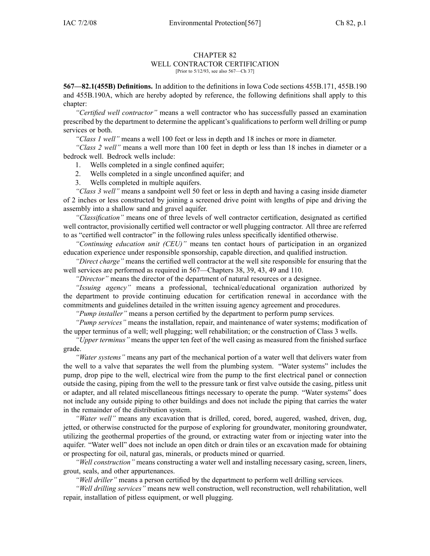#### CHAPTER 82 WELL CONTRACTOR CERTIFICATION

[Prior to 5/12/93, see also 567—Ch 37]

**567—82.1(455B) Definitions.** In addition to the definitions in Iowa Code sections 455B.171, 455B.190 and 455B.190A, which are hereby adopted by reference, the following definitions shall apply to this chapter:

*"Certified well contractor"* means <sup>a</sup> well contractor who has successfully passed an examination prescribed by the department to determine the applicant's qualifications to perform well drilling or pump services or both.

*"Class 1 well"* means <sup>a</sup> well 100 feet or less in depth and 18 inches or more in diameter.

*"Class 2 well"* means <sup>a</sup> well more than 100 feet in depth or less than 18 inches in diameter or <sup>a</sup> bedrock well. Bedrock wells include:

- 1. Wells completed in <sup>a</sup> single confined aquifer;
- 2. Wells completed in <sup>a</sup> single unconfined aquifer; and
- 3. Wells completed in multiple aquifers.

*"Class 3 well"* means <sup>a</sup> sandpoint well 50 feet or less in depth and having <sup>a</sup> casing inside diameter of 2 inches or less constructed by joining <sup>a</sup> screened drive point with lengths of pipe and driving the assembly into <sup>a</sup> shallow sand and gravel aquifer.

*"Classification"* means one of three levels of well contractor certification, designated as certified well contractor, provisionally certified well contractor or well plugging contractor. All three are referred to as "certified well contractor" in the following rules unless specifically identified otherwise.

*"Continuing education unit (CEU)"* means ten contact hours of participation in an organized education experience under responsible sponsorship, capable direction, and qualified instruction.

*"Direct charge"* means the certified well contractor at the well site responsible for ensuring that the well services are performed as required in 567—Chapters 38, 39, 43, 49 and 110.

*"Director"* means the director of the department of natural resources or <sup>a</sup> designee.

*"Issuing agency"* means <sup>a</sup> professional, technical/educational organization authorized by the department to provide continuing education for certification renewal in accordance with the commitments and guidelines detailed in the written issuing agency agreemen<sup>t</sup> and procedures.

*"Pump installer"* means <sup>a</sup> person certified by the department to perform pump services.

*"Pump services"* means the installation, repair, and maintenance of water systems; modification of the upper terminus of <sup>a</sup> well; well plugging; well rehabilitation; or the construction of Class 3 wells.

*"Upper terminus"* means the upper ten feet of the well casing as measured from the finished surface grade.

*"Water systems"* means any par<sup>t</sup> of the mechanical portion of <sup>a</sup> water well that delivers water from the well to <sup>a</sup> valve that separates the well from the plumbing system. "Water systems" includes the pump, drop pipe to the well, electrical wire from the pump to the first electrical panel or connection outside the casing, piping from the well to the pressure tank or first valve outside the casing, pitless unit or adapter, and all related miscellaneous fittings necessary to operate the pump. "Water systems" does not include any outside piping to other buildings and does not include the piping that carries the water in the remainder of the distribution system.

*"Water well"* means any excavation that is drilled, cored, bored, augered, washed, driven, dug, jetted, or otherwise constructed for the purpose of exploring for groundwater, monitoring groundwater, utilizing the geothermal properties of the ground, or extracting water from or injecting water into the aquifer. "Water well" does not include an open ditch or drain tiles or an excavation made for obtaining or prospecting for oil, natural gas, minerals, or products mined or quarried.

*"Well construction"* means constructing <sup>a</sup> water well and installing necessary casing, screen, liners, grout, seals, and other appurtenances.

*"Well driller"* means <sup>a</sup> person certified by the department to perform well drilling services.

*"Well drilling services"* means new well construction, well reconstruction, well rehabilitation, well repair, installation of pitless equipment, or well plugging.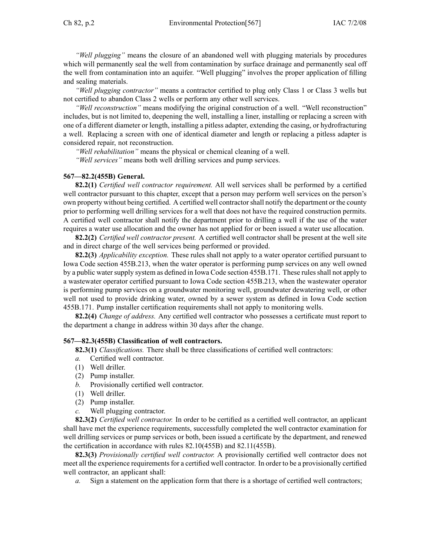*"Well plugging"* means the closure of an abandoned well with plugging materials by procedures which will permanently seal the well from contamination by surface drainage and permanently seal off the well from contamination into an aquifer. "Well plugging" involves the proper application of filling and sealing materials.

*"Well plugging contractor"* means <sup>a</sup> contractor certified to plug only Class 1 or Class 3 wells but not certified to abandon Class 2 wells or perform any other well services.

*"Well reconstruction"* means modifying the original construction of <sup>a</sup> well. "Well reconstruction" includes, but is not limited to, deepening the well, installing <sup>a</sup> liner, installing or replacing <sup>a</sup> screen with one of <sup>a</sup> different diameter or length, installing <sup>a</sup> pitless adapter, extending the casing, or hydrofracturing <sup>a</sup> well. Replacing <sup>a</sup> screen with one of identical diameter and length or replacing <sup>a</sup> pitless adapter is considered repair, not reconstruction.

*"Well rehabilitation"* means the physical or chemical cleaning of <sup>a</sup> well.

*"Well services"* means both well drilling services and pump services.

# **567—82.2(455B) General.**

**82.2(1)** *Certified well contractor requirement.* All well services shall be performed by <sup>a</sup> certified well contractor pursuan<sup>t</sup> to this chapter, excep<sup>t</sup> that <sup>a</sup> person may perform well services on the person's own property without being certified. A certified well contractorshall notify the department or the county prior to performing well drilling services for <sup>a</sup> well that does not have the required construction permits. A certified well contractor shall notify the department prior to drilling <sup>a</sup> well if the use of the water requires <sup>a</sup> water use allocation and the owner has not applied for or been issued <sup>a</sup> water use allocation.

**82.2(2)** *Certified well contractor present.* A certified well contractor shall be presen<sup>t</sup> at the well site and in direct charge of the well services being performed or provided.

**82.2(3)** *Applicability exception.* These rules shall not apply to <sup>a</sup> water operator certified pursuan<sup>t</sup> to Iowa Code section 455B.213, when the water operator is performing pump services on any well owned by a public water supply system as defined in Iowa Code section 455B.171. These rules shall not apply to <sup>a</sup> wastewater operator certified pursuan<sup>t</sup> to Iowa Code section 455B.213, when the wastewater operator is performing pump services on <sup>a</sup> groundwater monitoring well, groundwater dewatering well, or other well not used to provide drinking water, owned by <sup>a</sup> sewer system as defined in Iowa Code section 455B.171. Pump installer certification requirements shall not apply to monitoring wells.

**82.2(4)** *Change of address.* Any certified well contractor who possesses <sup>a</sup> certificate must repor<sup>t</sup> to the department <sup>a</sup> change in address within 30 days after the change.

## **567—82.3(455B) Classification of well contractors.**

**82.3(1)** *Classifications.* There shall be three classifications of certified well contractors:

- *a.* Certified well contractor.
- (1) Well driller.
- (2) Pump installer.
- *b.* Provisionally certified well contractor.
- (1) Well driller.
- (2) Pump installer.
- *c.* Well plugging contractor.

**82.3(2)** *Certified well contractor.* In order to be certified as <sup>a</sup> certified well contractor, an applicant shall have met the experience requirements, successfully completed the well contractor examination for well drilling services or pump services or both, been issued <sup>a</sup> certificate by the department, and renewed the certification in accordance with rules 82.10(455B) and 82.11(455B).

**82.3(3)** *Provisionally certified well contractor.* A provisionally certified well contractor does not meet all the experience requirements for a certified well contractor. In order to be a provisionally certified well contractor, an applicant shall:

*a.* Sign <sup>a</sup> statement on the application form that there is <sup>a</sup> shortage of certified well contractors;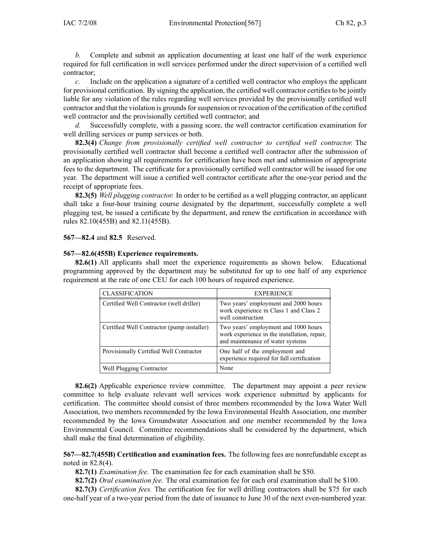*b.* Complete and submit an application documenting at least one half of the work experience required for full certification in well services performed under the direct supervision of <sup>a</sup> certified well contractor;

*c.* Include on the application <sup>a</sup> signature of <sup>a</sup> certified well contractor who employs the applicant for provisional certification. By signing the application, the certified well contractor certifies to be jointly liable for any violation of the rules regarding well services provided by the provisionally certified well contractor and that the violation is grounds for suspension or revocation of the certification of the certified well contractor and the provisionally certified well contractor; and

*d.* Successfully complete, with <sup>a</sup> passing score, the well contractor certification examination for well drilling services or pump services or both.

**82.3(4)** *Change from provisionally certified well contractor to certified well contractor.* The provisionally certified well contractor shall become <sup>a</sup> certified well contractor after the submission of an application showing all requirements for certification have been met and submission of appropriate fees to the department. The certificate for <sup>a</sup> provisionally certified well contractor will be issued for one year. The department will issue <sup>a</sup> certified well contractor certificate after the one-year period and the receipt of appropriate fees.

**82.3(5)** *Well plugging contractor.* In order to be certified as <sup>a</sup> well plugging contractor, an applicant shall take <sup>a</sup> four-hour training course designated by the department, successfully complete <sup>a</sup> well plugging test, be issued <sup>a</sup> certificate by the department, and renew the certification in accordance with rules 82.10(455B) and 82.11(455B).

**567—82.4** and **82.5** Reserved.

## **567—82.6(455B) Experience requirements.**

**82.6(1)** All applicants shall meet the experience requirements as shown below. Educational programming approved by the department may be substituted for up to one half of any experience requirement at the rate of one CEU for each 100 hours of required experience.

| <b>CLASSIFICATION</b>                      | <b>EXPERIENCE</b>                                                                                                        |
|--------------------------------------------|--------------------------------------------------------------------------------------------------------------------------|
| Certified Well Contractor (well driller)   | Two years' employment and 2000 hours<br>work experience in Class 1 and Class 2<br>well construction                      |
| Certified Well Contractor (pump installer) | Two years' employment and 1000 hours<br>work experience in the installation, repair,<br>and maintenance of water systems |
| Provisionally Certified Well Contractor    | One half of the employment and<br>experience required for full certification                                             |
| Well Plugging Contractor                   | None                                                                                                                     |

**82.6(2)** Applicable experience review committee. The department may appoint <sup>a</sup> peer review committee to help evaluate relevant well services work experience submitted by applicants for certification. The committee should consist of three members recommended by the Iowa Water Well Association, two members recommended by the Iowa Environmental Health Association, one member recommended by the Iowa Groundwater Association and one member recommended by the Iowa Environmental Council. Committee recommendations shall be considered by the department, which shall make the final determination of eligibility.

**567—82.7(455B) Certification and examination fees.** The following fees are nonrefundable excep<sup>t</sup> as noted in 82.8(4).

**82.7(1)** *Examination fee.* The examination fee for each examination shall be \$50.

**82.7(2)** *Oral examination fee.* The oral examination fee for each oral examination shall be \$100.

**82.7(3)** *Certification fees.* The certification fee for well drilling contractors shall be \$75 for each one-half year of <sup>a</sup> two-year period from the date of issuance to June 30 of the next even-numbered year.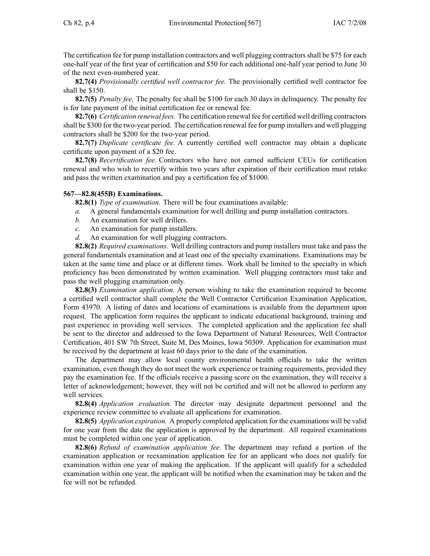The certification fee for pump installation contractors and well plugging contractorsshall be \$75 for each one-half year of the first year of certification and \$50 for each additional one-half year period to June 30 of the next even-numbered year.

**82.7(4)** *Provisionally certified well contractor fee.* The provisionally certified well contractor fee shall be \$150.

**82.7(5)** *Penalty fee.* The penalty fee shall be \$100 for each 30 days in delinquency. The penalty fee is for late paymen<sup>t</sup> of the initial certification fee or renewal fee.

**82.7(6)** *Certification renewal fees.* The certification renewal fee for certified well drilling contractors shall be \$300 for the two-year period. The certification renewal fee for pump installers and well plugging contractors shall be \$200 for the two-year period.

**82.7(7)** *Duplicate certificate fee.* A currently certified well contractor may obtain <sup>a</sup> duplicate certificate upon paymen<sup>t</sup> of <sup>a</sup> \$20 fee.

**82.7(8)** *Recertification fee.* Contractors who have not earned sufficient CEUs for certification renewal and who wish to recertify within two years after expiration of their certification must retake and pass the written examination and pay <sup>a</sup> certification fee of \$1000.

## **567—82.8(455B) Examinations.**

**82.8(1)** *Type of examination.* There will be four examinations available:

- *a.* A general fundamentals examination for well drilling and pump installation contractors.
- *b.* An examination for well drillers.
- *c.* An examination for pump installers.
- *d.* An examination for well plugging contractors.

**82.8(2)** *Required examinations.* Well drilling contractors and pump installers must take and pass the general fundamentals examination and at least one of the specialty examinations. Examinations may be taken at the same time and place or at different times. Work shall be limited to the specialty in which proficiency has been demonstrated by written examination. Well plugging contractors must take and pass the well plugging examination only.

**82.8(3)** *Examination application.* A person wishing to take the examination required to become <sup>a</sup> certified well contractor shall complete the Well Contractor Certification Examination Application, Form 43970. A listing of dates and locations of examinations is available from the department upon request. The application form requires the applicant to indicate educational background, training and pas<sup>t</sup> experience in providing well services. The completed application and the application fee shall be sent to the director and addressed to the Iowa Department of Natural Resources, Well Contractor Certification, 401 SW 7th Street, Suite M, Des Moines, Iowa 50309. Application for examination must be received by the department at least 60 days prior to the date of the examination.

The department may allow local county environmental health officials to take the written examination, even though they do not meet the work experience or training requirements, provided they pay the examination fee. If the officials receive <sup>a</sup> passing score on the examination, they will receive <sup>a</sup> letter of acknowledgement; however, they will not be certified and will not be allowed to perform any well services.

**82.8(4)** *Application evaluation.* The director may designate department personnel and the experience review committee to evaluate all applications for examination.

**82.8(5)** *Application expiration.* A properly completed application for the examinations will be valid for one year from the date the application is approved by the department. All required examinations must be completed within one year of application.

**82.8(6)** *Refund of examination application fee.* The department may refund <sup>a</sup> portion of the examination application or reexamination application fee for an applicant who does not qualify for examination within one year of making the application. If the applicant will qualify for <sup>a</sup> scheduled examination within one year, the applicant will be notified when the examination may be taken and the fee will not be refunded.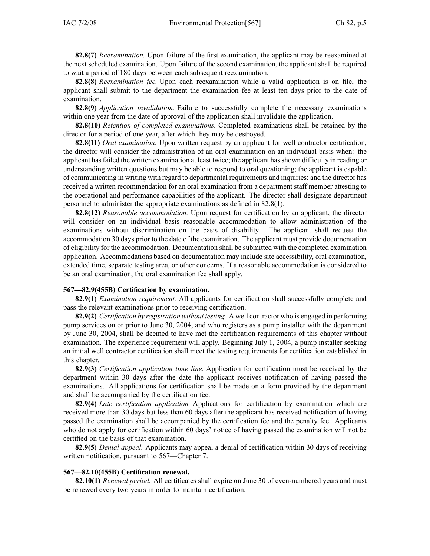**82.8(7)** *Reexamination.* Upon failure of the first examination, the applicant may be reexamined at the next scheduled examination. Upon failure of the second examination, the applicant shall be required to wait <sup>a</sup> period of 180 days between each subsequent reexamination.

**82.8(8)** *Reexamination fee.* Upon each reexamination while <sup>a</sup> valid application is on file, the applicant shall submit to the department the examination fee at least ten days prior to the date of examination.

**82.8(9)** *Application invalidation.* Failure to successfully complete the necessary examinations within one year from the date of approval of the application shall invalidate the application.

**82.8(10)** *Retention of completed examinations.* Completed examinations shall be retained by the director for <sup>a</sup> period of one year, after which they may be destroyed.

**82.8(11)** *Oral examination.* Upon written reques<sup>t</sup> by an applicant for well contractor certification, the director will consider the administration of an oral examination on an individual basis when: the applicant hasfailed the written examination at least twice; the applicant hasshown difficulty in reading or understanding written questions but may be able to respond to oral questioning; the applicant is capable of communicating in writing with regard to departmental requirements and inquiries; and the director has received <sup>a</sup> written recommendation for an oral examination from <sup>a</sup> department staff member attesting to the operational and performance capabilities of the applicant. The director shall designate department personnel to administer the appropriate examinations as defined in 82.8(1).

**82.8(12)** *Reasonable accommodation.* Upon reques<sup>t</sup> for certification by an applicant, the director will consider on an individual basis reasonable accommodation to allow administration of the examinations without discrimination on the basis of disability. The applicant shall reques<sup>t</sup> the accommodation 30 days prior to the date of the examination. The applicant must provide documentation of eligibility for the accommodation. Documentation shall be submitted with the completed examination application. Accommodations based on documentation may include site accessibility, oral examination, extended time, separate testing area, or other concerns. If <sup>a</sup> reasonable accommodation is considered to be an oral examination, the oral examination fee shall apply.

## **567—82.9(455B) Certification by examination.**

**82.9(1)** *Examination requirement.* All applicants for certification shall successfully complete and pass the relevant examinations prior to receiving certification.

**82.9(2)** *Certification by registration without testing.* A well contractor who is engaged in performing pump services on or prior to June 30, 2004, and who registers as <sup>a</sup> pump installer with the department by June 30, 2004, shall be deemed to have met the certification requirements of this chapter without examination. The experience requirement will apply. Beginning July 1, 2004, <sup>a</sup> pump installer seeking an initial well contractor certification shall meet the testing requirements for certification established in this chapter.

**82.9(3)** *Certification application time line.* Application for certification must be received by the department within 30 days after the date the applicant receives notification of having passed the examinations. All applications for certification shall be made on <sup>a</sup> form provided by the department and shall be accompanied by the certification fee.

**82.9(4)** *Late certification application.* Applications for certification by examination which are received more than 30 days but less than 60 days after the applicant has received notification of having passed the examination shall be accompanied by the certification fee and the penalty fee. Applicants who do not apply for certification within 60 days' notice of having passed the examination will not be certified on the basis of that examination.

**82.9(5)** *Denial appeal.* Applicants may appeal <sup>a</sup> denial of certification within 30 days of receiving written notification, pursuant to 567—Chapter 7.

#### **567—82.10(455B) Certification renewal.**

**82.10(1)** *Renewal period.* All certificates shall expire on June 30 of even-numbered years and must be renewed every two years in order to maintain certification.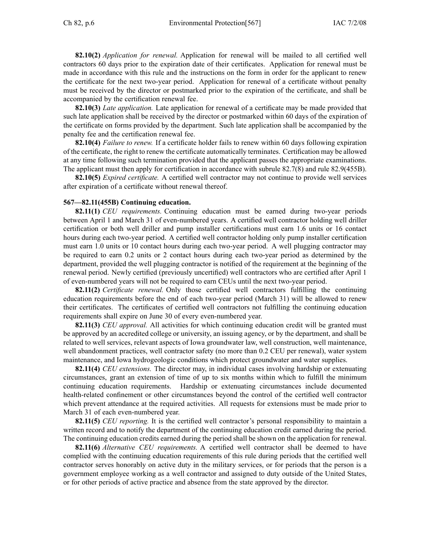**82.10(2)** *Application for renewal.* Application for renewal will be mailed to all certified well contractors 60 days prior to the expiration date of their certificates. Application for renewal must be made in accordance with this rule and the instructions on the form in order for the applicant to renew the certificate for the next two-year period. Application for renewal of <sup>a</sup> certificate without penalty must be received by the director or postmarked prior to the expiration of the certificate, and shall be accompanied by the certification renewal fee.

**82.10(3)** *Late application.* Late application for renewal of <sup>a</sup> certificate may be made provided that such late application shall be received by the director or postmarked within 60 days of the expiration of the certificate on forms provided by the department. Such late application shall be accompanied by the penalty fee and the certification renewal fee.

**82.10(4)** *Failure to renew.* If <sup>a</sup> certificate holder fails to renew within 60 days following expiration of the certificate, the right to renew the certificate automatically terminates. Certification may be allowed at any time following such termination provided that the applicant passes the appropriate examinations. The applicant must then apply for certification in accordance with subrule 82.7(8) and rule 82.9(455B).

**82.10(5)** *Expired certificate.* A certified well contractor may not continue to provide well services after expiration of <sup>a</sup> certificate without renewal thereof.

#### **567—82.11(455B) Continuing education.**

**82.11(1)** *CEU requirements.* Continuing education must be earned during two-year periods between April 1 and March 31 of even-numbered years. A certified well contractor holding well driller certification or both well driller and pump installer certifications must earn 1.6 units or 16 contact hours during each two-year period. A certified well contractor holding only pump installer certification must earn 1.0 units or 10 contact hours during each two-year period. A well plugging contractor may be required to earn 0.2 units or 2 contact hours during each two-year period as determined by the department, provided the well plugging contractor is notified of the requirement at the beginning of the renewal period. Newly certified (previously uncertified) well contractors who are certified after April 1 of even-numbered years will not be required to earn CEUs until the next two-year period.

**82.11(2)** *Certificate renewal.* Only those certified well contractors fulfilling the continuing education requirements before the end of each two-year period (March 31) will be allowed to renew their certificates. The certificates of certified well contractors not fulfilling the continuing education requirements shall expire on June 30 of every even-numbered year.

**82.11(3)** *CEU approval.* All activities for which continuing education credit will be granted must be approved by an accredited college or university, an issuing agency, or by the department, and shall be related to well services, relevant aspects of Iowa groundwater law, well construction, well maintenance, well abandonment practices, well contractor safety (no more than 0.2 CEU per renewal), water system maintenance, and Iowa hydrogeologic conditions which protect groundwater and water supplies.

**82.11(4)** *CEU extensions.* The director may, in individual cases involving hardship or extenuating circumstances, gran<sup>t</sup> an extension of time of up to six months within which to fulfill the minimum continuing education requirements. Hardship or extenuating circumstances include documented health-related confinement or other circumstances beyond the control of the certified well contractor which preven<sup>t</sup> attendance at the required activities. All requests for extensions must be made prior to March 31 of each even-numbered year.

**82.11(5)** *CEU reporting.* It is the certified well contractor's personal responsibility to maintain <sup>a</sup> written record and to notify the department of the continuing education credit earned during the period. The continuing education credits earned during the period shall be shown on the application for renewal.

**82.11(6)** *Alternative CEU requirements.* A certified well contractor shall be deemed to have complied with the continuing education requirements of this rule during periods that the certified well contractor serves honorably on active duty in the military services, or for periods that the person is <sup>a</sup> governmen<sup>t</sup> employee working as <sup>a</sup> well contractor and assigned to duty outside of the United States, or for other periods of active practice and absence from the state approved by the director.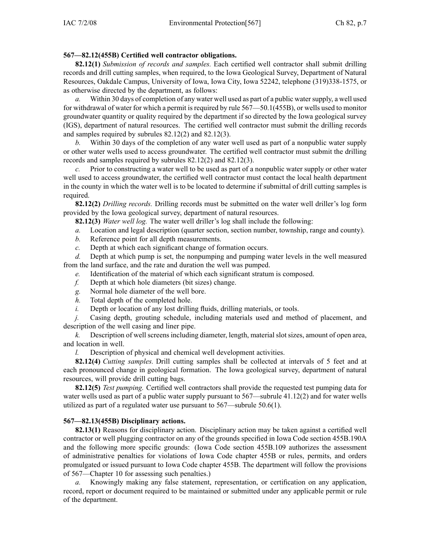# **567—82.12(455B) Certified well contractor obligations.**

**82.12(1)** *Submission of records and samples.* Each certified well contractor shall submit drilling records and drill cutting samples, when required, to the Iowa Geological Survey, Department of Natural Resources, Oakdale Campus, University of Iowa, Iowa City, Iowa 52242, telephone (319)338-1575, or as otherwise directed by the department, as follows:

*a.* Within 30 days of completion of any water well used as par<sup>t</sup> of <sup>a</sup> public watersupply, <sup>a</sup> well used for withdrawal of water for which <sup>a</sup> permit isrequired by rule 567—50.1(455B), or wells used to monitor groundwater quantity or quality required by the department if so directed by the Iowa geological survey (IGS), department of natural resources. The certified well contractor must submit the drilling records and samples required by subrules 82.12(2) and 82.12(3).

*b.* Within 30 days of the completion of any water well used as par<sup>t</sup> of <sup>a</sup> nonpublic water supply or other water wells used to access groundwater. The certified well contractor must submit the drilling records and samples required by subrules 82.12(2) and 82.12(3).

*c.* Prior to constructing <sup>a</sup> water well to be used as par<sup>t</sup> of <sup>a</sup> nonpublic water supply or other water well used to access groundwater, the certified well contractor must contact the local health department in the county in which the water well is to be located to determine if submittal of drill cutting samples is required.

**82.12(2)** *Drilling records.* Drilling records must be submitted on the water well driller's log form provided by the Iowa geological survey, department of natural resources.

**82.12(3)** *Water well log.* The water well driller's log shall include the following:

- *a.* Location and legal description (quarter section, section number, township, range and county).
- *b.* Reference point for all depth measurements.
- *c.* Depth at which each significant change of formation occurs.

*d.* Depth at which pump is set, the nonpumping and pumping water levels in the well measured from the land surface, and the rate and duration the well was pumped.

- *e.* Identification of the material of which each significant stratum is composed.
- *f.* Depth at which hole diameters (bit sizes) change.
- *g.* Normal hole diameter of the well bore.
- *h.* Total depth of the completed hole.
- *i.* Depth or location of any lost drilling fluids, drilling materials, or tools.

*j.* Casing depth, grouting schedule, including materials used and method of placement, and description of the well casing and liner pipe.

*k.* Description of well screens including diameter, length, material slot sizes, amount of open area, and location in well.

*l.* Description of physical and chemical well development activities.

**82.12(4)** *Cutting samples.* Drill cutting samples shall be collected at intervals of 5 feet and at each pronounced change in geological formation. The Iowa geological survey, department of natural resources, will provide drill cutting bags.

**82.12(5)** *Test pumping.* Certified well contractors shall provide the requested test pumping data for water wells used as part of a public water supply pursuant to 567—subrule 41.12(2) and for water wells utilized as par<sup>t</sup> of <sup>a</sup> regulated water use pursuan<sup>t</sup> to 567—subrule 50.6(1).

# **567—82.13(455B) Disciplinary actions.**

**82.13(1)** Reasons for disciplinary action. Disciplinary action may be taken against <sup>a</sup> certified well contractor or well plugging contractor on any of the grounds specified in Iowa Code section 455B.190A and the following more specific grounds: (Iowa Code section 455B.109 authorizes the assessment of administrative penalties for violations of Iowa Code chapter 455B or rules, permits, and orders promulgated or issued pursuan<sup>t</sup> to Iowa Code chapter 455B. The department will follow the provisions of 567—Chapter 10 for assessing such penalties.)

*a.* Knowingly making any false statement, representation, or certification on any application, record, repor<sup>t</sup> or document required to be maintained or submitted under any applicable permit or rule of the department.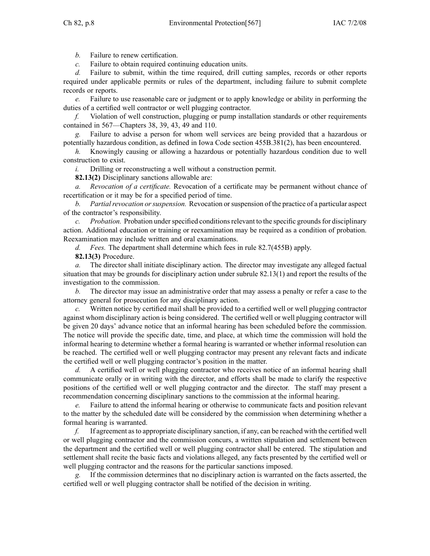*b.* Failure to renew certification.

*c.* Failure to obtain required continuing education units.

*d.* Failure to submit, within the time required, drill cutting samples, records or other reports required under applicable permits or rules of the department, including failure to submit complete records or reports.

*e.* Failure to use reasonable care or judgment or to apply knowledge or ability in performing the duties of <sup>a</sup> certified well contractor or well plugging contractor.

*f.* Violation of well construction, plugging or pump installation standards or other requirements contained in 567—Chapters 38, 39, 43, 49 and 110.

*g.* Failure to advise <sup>a</sup> person for whom well services are being provided that <sup>a</sup> hazardous or potentially hazardous condition, as defined in Iowa Code section 455B.381(2), has been encountered.

*h.* Knowingly causing or allowing <sup>a</sup> hazardous or potentially hazardous condition due to well construction to exist.

*i.* Drilling or reconstructing <sup>a</sup> well without <sup>a</sup> construction permit.

**82.13(2)** Disciplinary sanctions allowable are:

*a. Revocation of <sup>a</sup> certificate.* Revocation of <sup>a</sup> certificate may be permanen<sup>t</sup> without chance of recertification or it may be for <sup>a</sup> specified period of time.

*b. Partialrevocation orsuspension.* Revocation orsuspension of the practice of <sup>a</sup> particular aspec<sup>t</sup> of the contractor's responsibility.

*c. Probation.* Probation under specified conditions relevant to the specific grounds for disciplinary action. Additional education or training or reexamination may be required as <sup>a</sup> condition of probation. Reexamination may include written and oral examinations.

*d. Fees.* The department shall determine which fees in rule 82.7(455B) apply.

**82.13(3)** Procedure.

*a.* The director shall initiate disciplinary action. The director may investigate any alleged factual situation that may be grounds for disciplinary action under subrule 82.13(1) and repor<sup>t</sup> the results of the investigation to the commission.

*b.* The director may issue an administrative order that may assess <sup>a</sup> penalty or refer <sup>a</sup> case to the attorney general for prosecution for any disciplinary action.

*c.* Written notice by certified mail shall be provided to <sup>a</sup> certified well or well plugging contractor against whom disciplinary action is being considered. The certified well or well plugging contractor will be given 20 days' advance notice that an informal hearing has been scheduled before the commission. The notice will provide the specific date, time, and place, at which time the commission will hold the informal hearing to determine whether <sup>a</sup> formal hearing is warranted or whether informal resolution can be reached. The certified well or well plugging contractor may presen<sup>t</sup> any relevant facts and indicate the certified well or well plugging contractor's position in the matter.

*d.* A certified well or well plugging contractor who receives notice of an informal hearing shall communicate orally or in writing with the director, and efforts shall be made to clarify the respective positions of the certified well or well plugging contractor and the director. The staff may presen<sup>t</sup> <sup>a</sup> recommendation concerning disciplinary sanctions to the commission at the informal hearing.

*e.* Failure to attend the informal hearing or otherwise to communicate facts and position relevant to the matter by the scheduled date will be considered by the commission when determining whether <sup>a</sup> formal hearing is warranted.

*f.* If agreemen<sup>t</sup> asto appropriate disciplinary sanction, if any, can be reached with the certified well or well plugging contractor and the commission concurs, <sup>a</sup> written stipulation and settlement between the department and the certified well or well plugging contractor shall be entered. The stipulation and settlement shall recite the basic facts and violations alleged, any facts presented by the certified well or well plugging contractor and the reasons for the particular sanctions imposed.

*g.* If the commission determines that no disciplinary action is warranted on the facts asserted, the certified well or well plugging contractor shall be notified of the decision in writing.